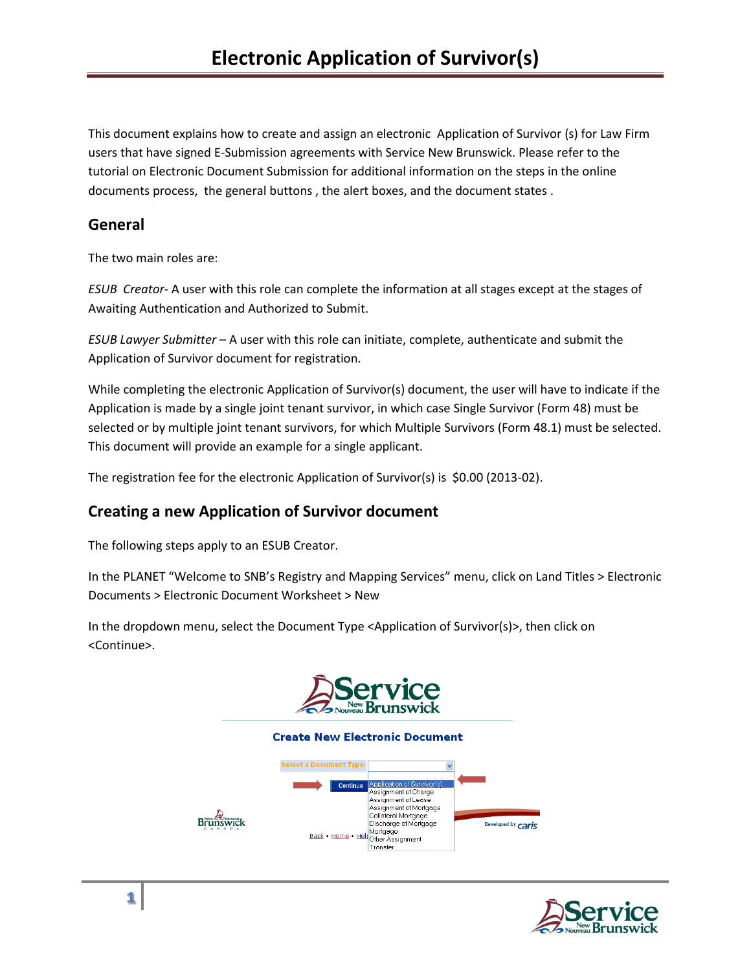This document explains how to create and assign an electronic Application of Survivor (s) for Law Firm users that have signed E-Submission agreements with Service New Brunswick. Please refer to the tutorial on Electronic Document Submission for additional information on the steps in the online documents process, the general buttons , the alert boxes, and the document states .

# **General**

The two main roles are:

*ESUB Creator*- A user with this role can complete the information at all stages except at the stages of Awaiting Authentication and Authorized to Submit.

*ESUB Lawyer Submitter* – A user with this role can initiate, complete, authenticate and submit the Application of Survivor document for registration.

While completing the electronic Application of Survivor(s) document, the user will have to indicate if the Application is made by a single joint tenant survivor, in which case Single Survivor (Form 48) must be selected or by multiple joint tenant survivors, for which Multiple Survivors (Form 48.1) must be selected. This document will provide an example for a single applicant.

The registration fee for the electronic Application of Survivor(s) is \$0.00 (2013-02).

# **Creating a new Application of Survivor document**

The following steps apply to an ESUB Creator.

In the PLANET "Welcome to SNB's Registry and Mapping Services" menu, click on Land Titles > Electronic Documents > Electronic Document Worksheet > New

In the dropdown menu, select the Document Type <Application of Survivor(s)>, then click on <Continue>.



#### **Create New Electronic Document**



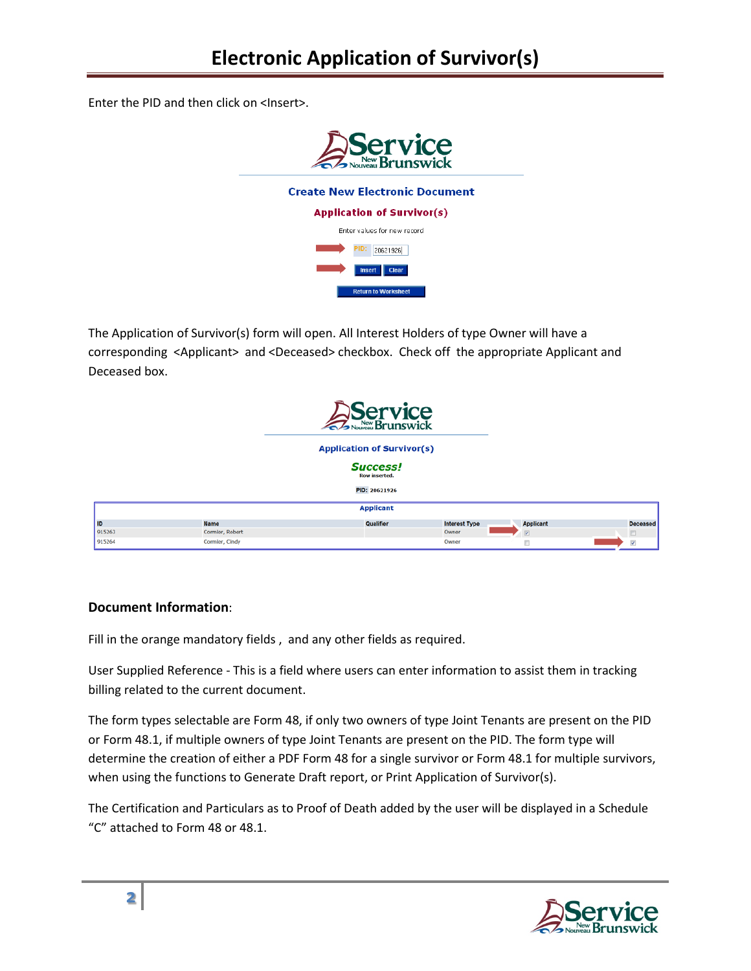Enter the PID and then click on <Insert>.



The Application of Survivor(s) form will open. All Interest Holders of type Owner will have a corresponding <Applicant> and <Deceased> checkbox. Check off the appropriate Applicant and Deceased box.

|        |                 | Service                                 |                      |                         |                          |
|--------|-----------------|-----------------------------------------|----------------------|-------------------------|--------------------------|
|        |                 | <b>Application of Survivor(s)</b>       |                      |                         |                          |
|        |                 | <b>Success!</b><br><b>Row inserted.</b> |                      |                         |                          |
|        |                 | PID: 20621926                           |                      |                         |                          |
|        |                 | <b>Applicant</b>                        |                      |                         |                          |
| l ID   | Name            | Qualifier                               | <b>Interest Type</b> | <b>Applicant</b>        | <b>Deceased</b>          |
| 915263 | Cormier, Robert |                                         | Owner                | $\overline{\mathbf{v}}$ | n                        |
| 915264 | Cormier, Cindy  |                                         | Owner                | m                       | $\overline{\mathcal{L}}$ |

## **Document Information**:

Fill in the orange mandatory fields , and any other fields as required.

User Supplied Reference - This is a field where users can enter information to assist them in tracking billing related to the current document.

The form types selectable are Form 48, if only two owners of type Joint Tenants are present on the PID or Form 48.1, if multiple owners of type Joint Tenants are present on the PID. The form type will determine the creation of either a PDF Form 48 for a single survivor or Form 48.1 for multiple survivors, when using the functions to Generate Draft report, or Print Application of Survivor(s).

The Certification and Particulars as to Proof of Death added by the user will be displayed in a Schedule "C" attached to Form 48 or 48.1.

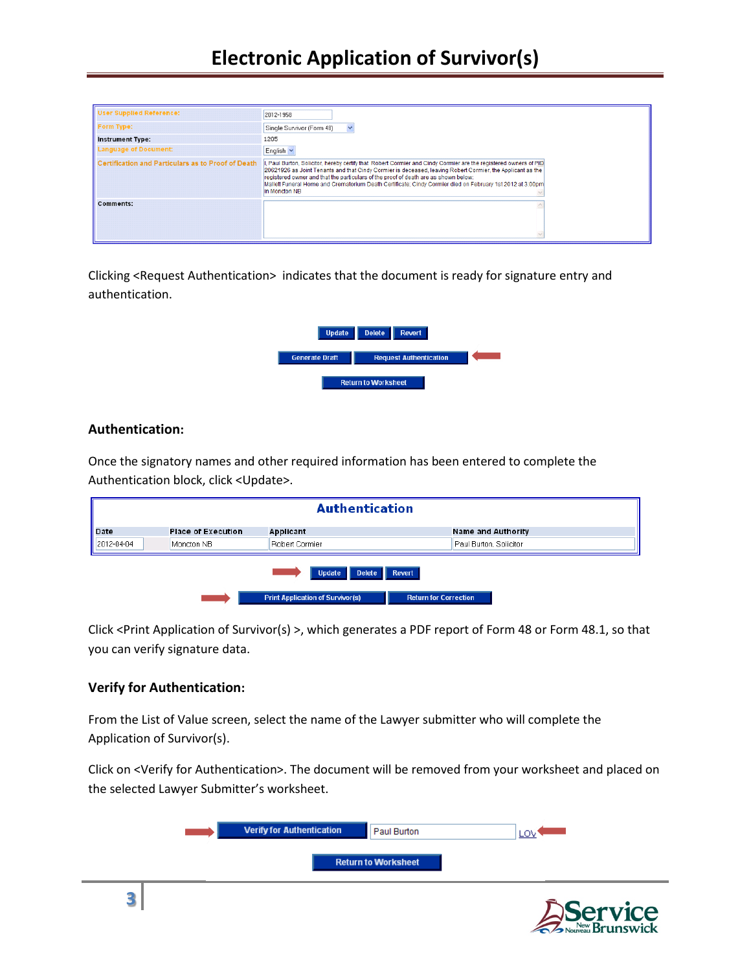| Form Type:                                         | Single Survivor (Form 48)<br>$\checkmark$                                                                                                                                                                                                                                                                                                                                                                                                         |
|----------------------------------------------------|---------------------------------------------------------------------------------------------------------------------------------------------------------------------------------------------------------------------------------------------------------------------------------------------------------------------------------------------------------------------------------------------------------------------------------------------------|
| <b>Instrument Type:</b>                            | 1205                                                                                                                                                                                                                                                                                                                                                                                                                                              |
| Language of Document:                              | English $\vee$                                                                                                                                                                                                                                                                                                                                                                                                                                    |
| Certification and Particulars as to Proof of Death | Paul Burton, Solicitor, hereby certify that Robert Cormier and Cindy Cormier are the registered owners of PID,<br>20621926 as Joint Tenants and that Cindy Cormier is deceased, leaving Robert Cormier, the Applicant as the<br>registered owner and that the particulars of the proof of death are as shown below:<br>Mallett Funeral Home and Crematorium Death Certificate: Cindy Cormier died on February 1st 2012 at 3:00pm<br>in Moncton NB |
| <b>Comments:</b>                                   |                                                                                                                                                                                                                                                                                                                                                                                                                                                   |
|                                                    |                                                                                                                                                                                                                                                                                                                                                                                                                                                   |

Clicking <Request Authentication> indicates that the document is ready for signature entry and authentication.



#### **Authentication:**

Once the signatory names and other required information has been entered to complete the Authentication block, click <Update>.

| <b>Authentication</b> |                           |                                         |                              |  |
|-----------------------|---------------------------|-----------------------------------------|------------------------------|--|
| Date                  | <b>Place of Execution</b> | Applicant                               | <b>Name and Authority</b>    |  |
| 2012-04-04            | Moncton NB                | Robert Cormier                          | Paul Burton, Solicitor       |  |
| Revert                |                           |                                         |                              |  |
|                       |                           | <b>Update</b><br><b>Delete</b>          |                              |  |
|                       |                           | <b>Print Application of Survivor(s)</b> | <b>Return for Correction</b> |  |

Click <Print Application of Survivor(s) >, which generates a PDF report of Form 48 or Form 48.1, so that you can verify signature data.

## **Verify for Authentication:**

From the List of Value screen, select the name of the Lawyer submitter who will complete the Application of Survivor(s).

Click on <Verify for Authentication>. The document will be removed from your worksheet and placed on the selected Lawyer Submitter's worksheet.

| <b>Verify for Authentication</b> | Paul Burton                |  |
|----------------------------------|----------------------------|--|
|                                  | <b>Return to Worksheet</b> |  |
|                                  |                            |  |

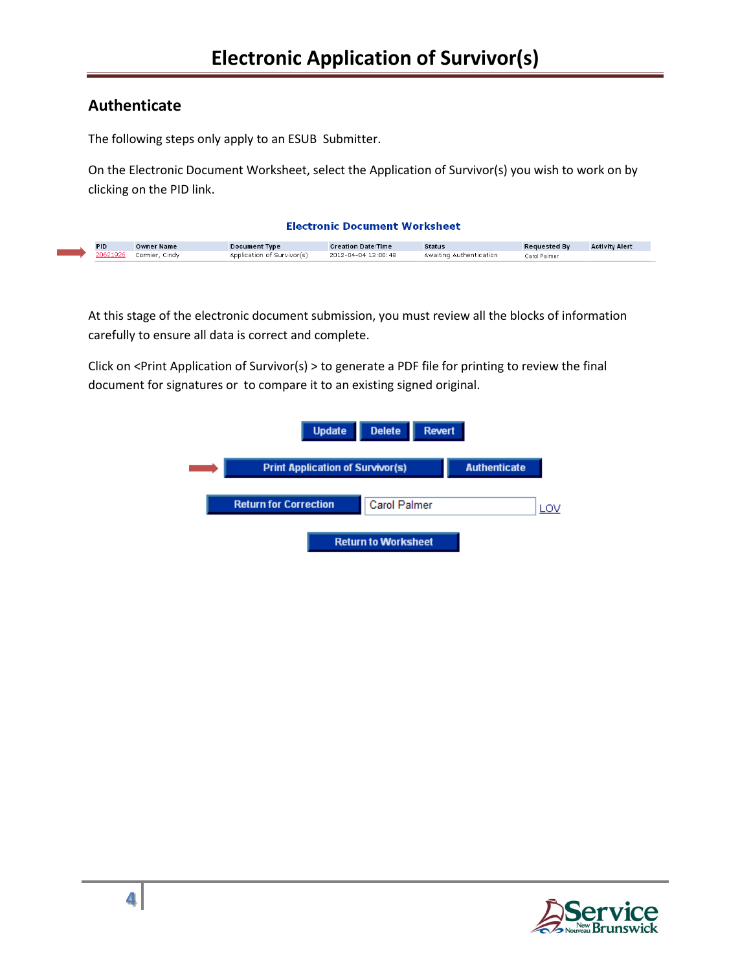## **Authenticate**

The following steps only apply to an ESUB Submitter.

On the Electronic Document Worksheet, select the Application of Survivor(s) you wish to work on by clicking on the PID link.

| <b>Electronic Document Worksheet</b> |                   |                            |                           |                         |                     |                       |
|--------------------------------------|-------------------|----------------------------|---------------------------|-------------------------|---------------------|-----------------------|
| <b>PID</b>                           | <b>Owner Name</b> | <b>Document Type</b>       | <b>Creation Date/Time</b> | <b>Status</b>           | <b>Requested By</b> | <b>Activity Alert</b> |
| 20621926                             | Cormier, Cindy    | Application of Survivor(s) | 2012-04-04 13:00:48       | Awaiting Authentication | Carol Palmer        |                       |

At this stage of the electronic document submission, you must review all the blocks of information carefully to ensure all data is correct and complete.

Click on <Print Application of Survivor(s) > to generate a PDF file for printing to review the final document for signatures or to compare it to an existing signed original.

| <b>Update</b>                           | <b>Delete</b><br><b>Revert</b> |                     |  |
|-----------------------------------------|--------------------------------|---------------------|--|
| <b>Print Application of Survivor(s)</b> |                                | <b>Authenticate</b> |  |
| <b>Return for Correction</b>            | <b>Carol Palmer</b>            |                     |  |
|                                         | <b>Return to Worksheet</b>     |                     |  |

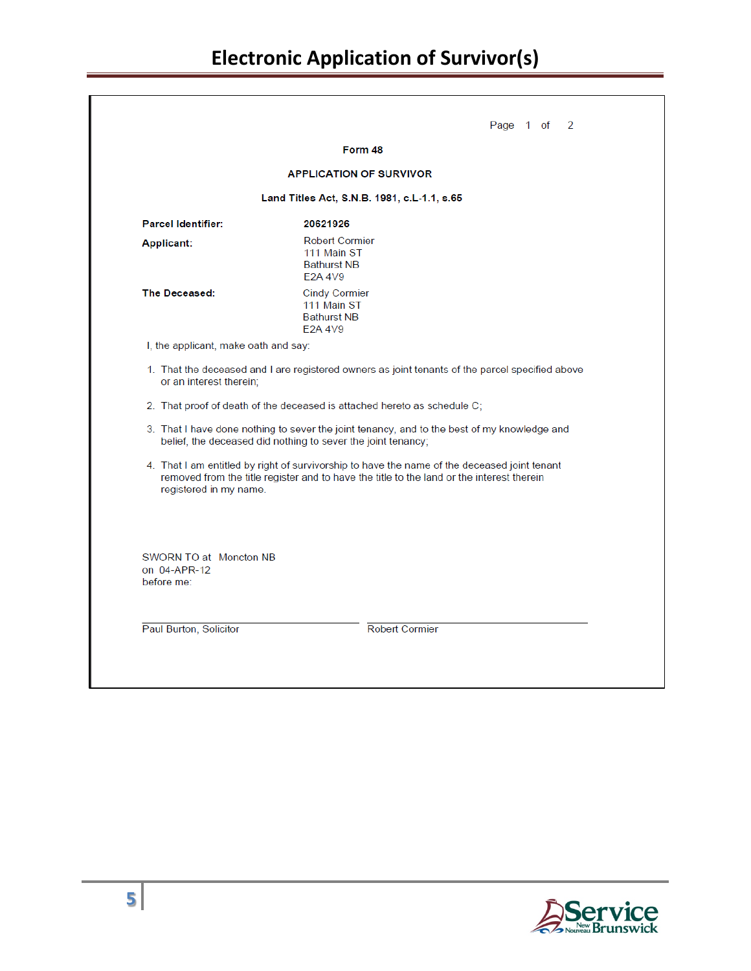|                                                      | Form 48                                                                                                                                                                                   |
|------------------------------------------------------|-------------------------------------------------------------------------------------------------------------------------------------------------------------------------------------------|
|                                                      | <b>APPLICATION OF SURVIVOR</b>                                                                                                                                                            |
|                                                      | Land Titles Act, S.N.B. 1981, c.L-1.1, s.65                                                                                                                                               |
| <b>Parcel Identifier:</b>                            | 20621926                                                                                                                                                                                  |
| Applicant:                                           | <b>Robert Cormier</b><br>111 Main ST<br><b>Bathurst NB</b><br>E2A 4V9                                                                                                                     |
| The Deceased:                                        | <b>Cindy Cormier</b><br>111 Main ST<br><b>Bathurst NB</b><br>E2A 4V9                                                                                                                      |
| I, the applicant, make oath and say:                 |                                                                                                                                                                                           |
| or an interest therein;                              | 1. That the deceased and I are registered owners as joint tenants of the parcel specified above                                                                                           |
|                                                      | 2. That proof of death of the deceased is attached hereto as schedule C;                                                                                                                  |
|                                                      | 3. That I have done nothing to sever the joint tenancy, and to the best of my knowledge and<br>belief, the deceased did nothing to sever the joint tenancy;                               |
| registered in my name.                               | 4. That I am entitled by right of survivorship to have the name of the deceased joint tenant<br>removed from the title register and to have the title to the land or the interest therein |
| SWORN TO at Moncton NB<br>on 04-APR-12<br>before me: |                                                                                                                                                                                           |
|                                                      |                                                                                                                                                                                           |
|                                                      |                                                                                                                                                                                           |

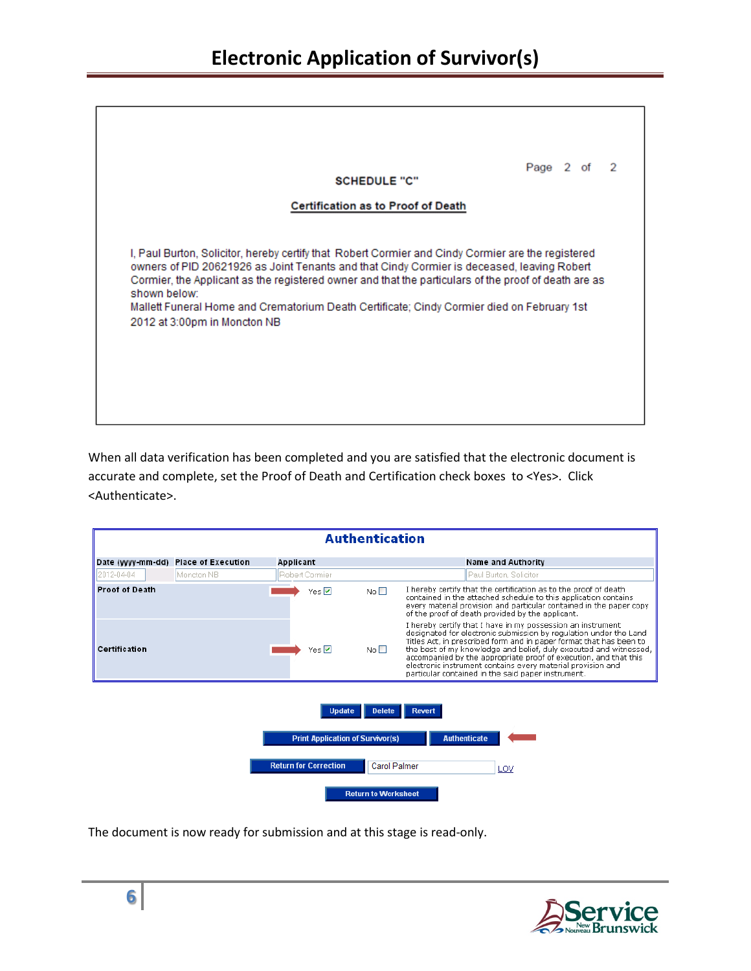| <b>Certification as to Proof of Death</b><br>I, Paul Burton, Solicitor, hereby certify that Robert Cormier and Cindy Cormier are the registered                                                                                                                                                  |
|--------------------------------------------------------------------------------------------------------------------------------------------------------------------------------------------------------------------------------------------------------------------------------------------------|
|                                                                                                                                                                                                                                                                                                  |
| owners of PID 20621926 as Joint Tenants and that Cindy Cormier is deceased, leaving Robert<br>Cormier, the Applicant as the registered owner and that the particulars of the proof of death are as<br>Mallett Funeral Home and Crematorium Death Certificate; Cindy Cormier died on February 1st |
|                                                                                                                                                                                                                                                                                                  |

When all data verification has been completed and you are satisfied that the electronic document is accurate and complete, set the Proof of Death and Certification check boxes to <Yes>. Click <Authenticate>.

| <b>Authentication</b> |                           |                                                          |                            |                                                                                                                                                                                                                                                                                                                                                                                                                                                                       |
|-----------------------|---------------------------|----------------------------------------------------------|----------------------------|-----------------------------------------------------------------------------------------------------------------------------------------------------------------------------------------------------------------------------------------------------------------------------------------------------------------------------------------------------------------------------------------------------------------------------------------------------------------------|
| Date (yyyy-mm-dd)     | <b>Place of Execution</b> | Applicant                                                |                            | <b>Name and Authority</b>                                                                                                                                                                                                                                                                                                                                                                                                                                             |
| 2012-04-04            | Moncton NR                | Robert Cormier                                           |                            | Paul Burton, Solicitor                                                                                                                                                                                                                                                                                                                                                                                                                                                |
| <b>Proof of Death</b> |                           | Yes $\nabla$                                             | No $\square$               | I hereby certify that the certification as to the proof of death<br>contained in the attached schedule to this application contains<br>every material provision and particular contained in the paper copy<br>of the proof of death provided by the applicant.                                                                                                                                                                                                        |
| Certification         |                           | Yes $\nabla$                                             | No <sub>1</sub>            | I hereby certify that I have in my possession an instrument<br>designated for electronic submission by regulation under the Land<br>Titles Act, in prescribed form and in paper format that has been to<br>the best of my knowledge and belief, duly executed and witnessed,<br>accompanied by the appropriate proof of execution, and that this<br>electronic instrument contains every material provision and<br>particular contained in the said paper instrument. |
|                       |                           | <b>Update</b><br><b>Print Application of Survivor(s)</b> | <b>Delete</b>              | Revert<br><b>Authenticate</b>                                                                                                                                                                                                                                                                                                                                                                                                                                         |
|                       |                           | <b>Return for Correction</b>                             | <b>Carol Palmer</b>        | LOV                                                                                                                                                                                                                                                                                                                                                                                                                                                                   |
|                       |                           |                                                          | <b>Return to Worksheet</b> |                                                                                                                                                                                                                                                                                                                                                                                                                                                                       |

The document is now ready for submission and at this stage is read-only.

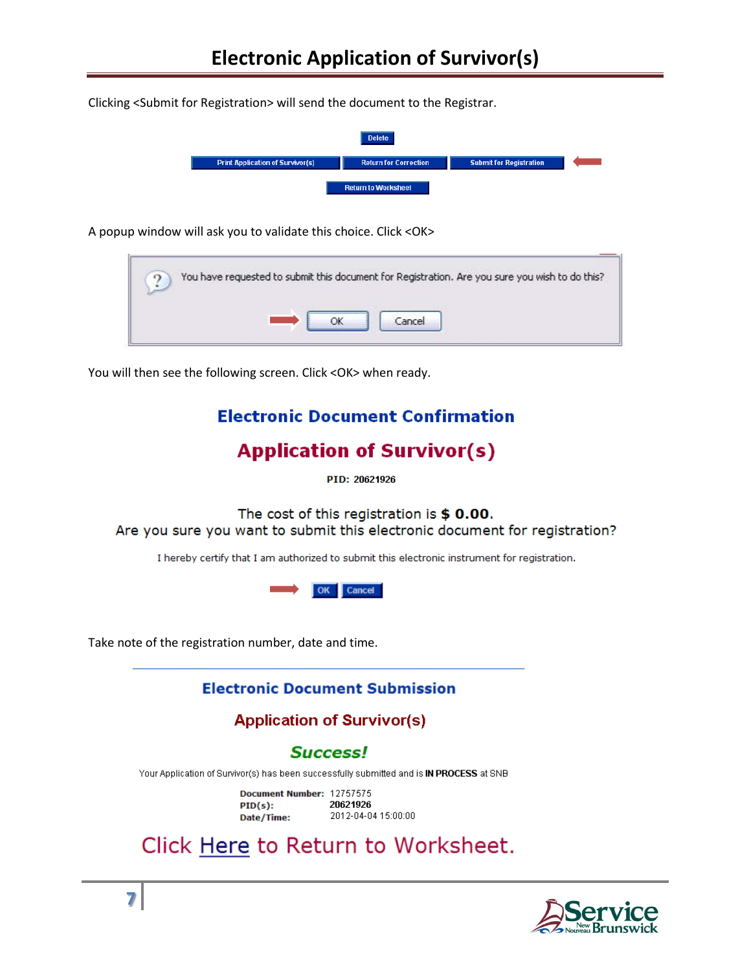Clicking <Submit for Registration> will send the document to the Registrar.

|                                         | <b>Delete</b>                |                                |  |
|-----------------------------------------|------------------------------|--------------------------------|--|
| <b>Print Application of Survivor(s)</b> | <b>Return for Correction</b> | <b>Submit for Registration</b> |  |
|                                         | <b>Return to Worksheet</b>   |                                |  |

A popup window will ask you to validate this choice. Click <OK>

| You have requested to submit this document for Registration. Are you sure you wish to do this? |
|------------------------------------------------------------------------------------------------|
|                                                                                                |

You will then see the following screen. Click <OK> when ready.

# **Electronic Document Confirmation**